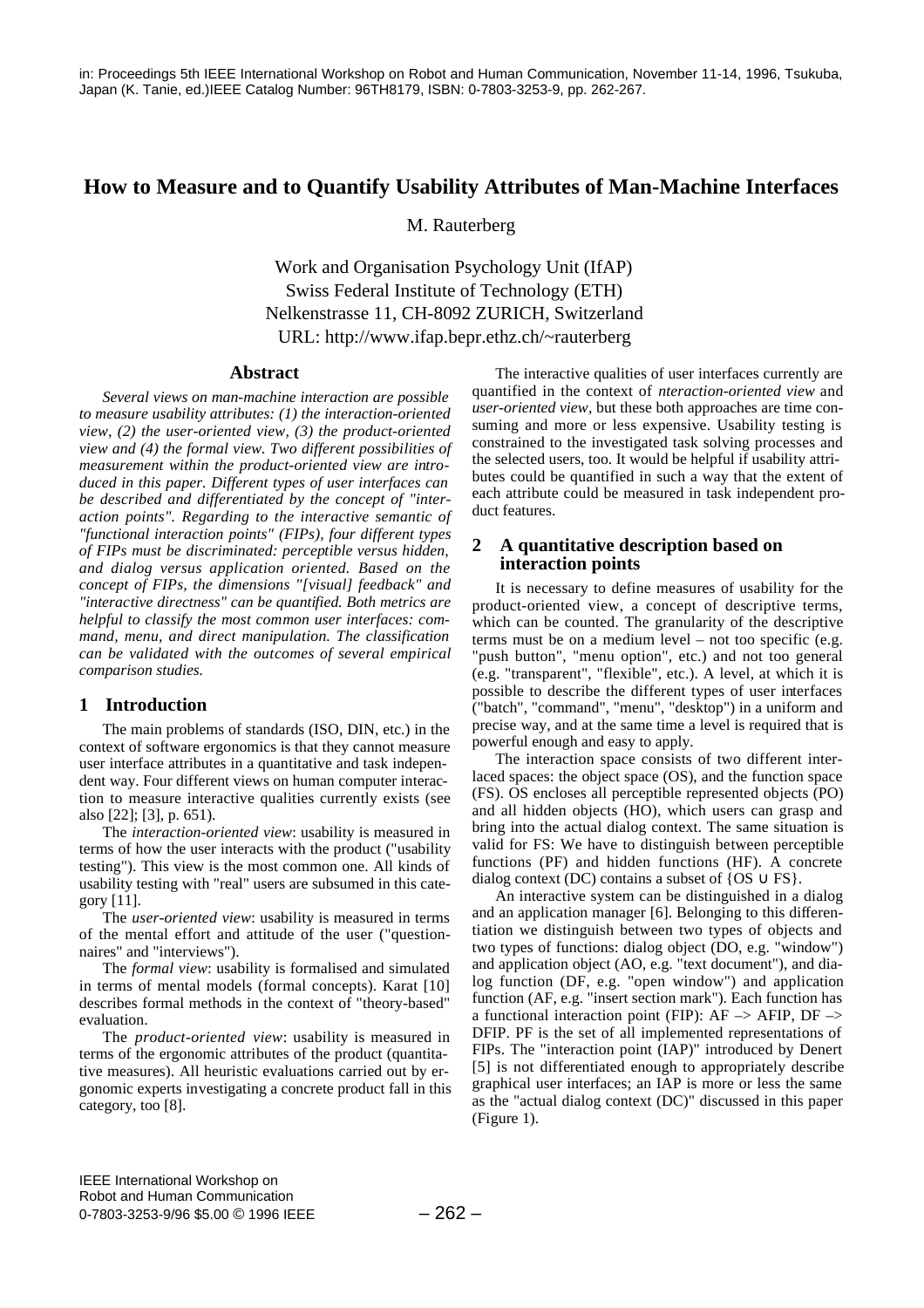# **How to Measure and to Quantify Usability Attributes of Man-Machine Interfaces**

M. Rauterberg

Work and Organisation Psychology Unit (IfAP) Swiss Federal Institute of Technology (ETH) Nelkenstrasse 11, CH-8092 ZURICH, Switzerland URL: http://www.ifap.bepr.ethz.ch/~rauterberg

#### **Abstract**

*Several views on man-machine interaction are possible to measure usability attributes: (1) the interaction-oriented view, (2) the user-oriented view, (3) the product-oriented view and (4) the formal view. Two different possibilities of measurement within the product-oriented view are introduced in this paper. Different types of user interfaces can be described and differentiated by the concept of "interaction points". Regarding to the interactive semantic of "functional interaction points" (FIPs), four different types of FIPs must be discriminated: perceptible versus hidden, and dialog versus application oriented. Based on the concept of FIPs, the dimensions "[visual] feedback" and "interactive directness" can be quantified. Both metrics are helpful to classify the most common user interfaces: command, menu, and direct manipulation. The classification can be validated with the outcomes of several empirical comparison studies.*

## **1 Introduction**

The main problems of standards (ISO, DIN, etc.) in the context of software ergonomics is that they cannot measure user interface attributes in a quantitative and task independent way. Four different views on human computer interaction to measure interactive qualities currently exists (see also [22]; [3], p. 651).

The *interaction-oriented view*: usability is measured in terms of how the user interacts with the product ("usability testing"). This view is the most common one. All kinds of usability testing with "real" users are subsumed in this category [11].

The *user-oriented view*: usability is measured in terms of the mental effort and attitude of the user ("questionnaires" and "interviews").

The *formal view*: usability is formalised and simulated in terms of mental models (formal concepts). Karat [10] describes formal methods in the context of "theory-based" evaluation.

The *product-oriented view*: usability is measured in terms of the ergonomic attributes of the product (quantitative measures). All heuristic evaluations carried out by ergonomic experts investigating a concrete product fall in this category, too [8].

The interactive qualities of user interfaces currently are quantified in the context of *nteraction-oriented view* and *user-oriented view*, but these both approaches are time consuming and more or less expensive. Usability testing is constrained to the investigated task solving processes and the selected users, too. It would be helpful if usability attributes could be quantified in such a way that the extent of each attribute could be measured in task independent product features.

## **2 A quantitative description based on interaction points**

It is necessary to define measures of usability for the product-oriented view, a concept of descriptive terms, which can be counted. The granularity of the descriptive terms must be on a medium level – not too specific (e.g. "push button", "menu option", etc.) and not too general (e.g. "transparent", "flexible", etc.). A level, at which it is possible to describe the different types of user interfaces ("batch", "command", "menu", "desktop") in a uniform and precise way, and at the same time a level is required that is powerful enough and easy to apply.

The interaction space consists of two different interlaced spaces: the object space (OS), and the function space (FS). OS encloses all perceptible represented objects (PO) and all hidden objects (HO), which users can grasp and bring into the actual dialog context. The same situation is valid for FS: We have to distinguish between perceptible functions (PF) and hidden functions (HF). A concrete dialog context (DC) contains a subset of  $\{OS \cup FS\}$ .

An interactive system can be distinguished in a dialog and an application manager [6]. Belonging to this differentiation we distinguish between two types of objects and two types of functions: dialog object (DO, e.g. "window") and application object (AO, e.g. "text document"), and dialog function (DF, e.g. "open window") and application function (AF, e.g. "insert section mark"). Each function has a functional interaction point (FIP):  $AF \rightarrow AFIP$ ,  $DF \rightarrow$ DFIP. PF is the set of all implemented representations of FIPs. The "interaction point (IAP)" introduced by Denert [5] is not differentiated enough to appropriately describe graphical user interfaces; an IAP is more or less the same as the "actual dialog context (DC)" discussed in this paper (Figure 1).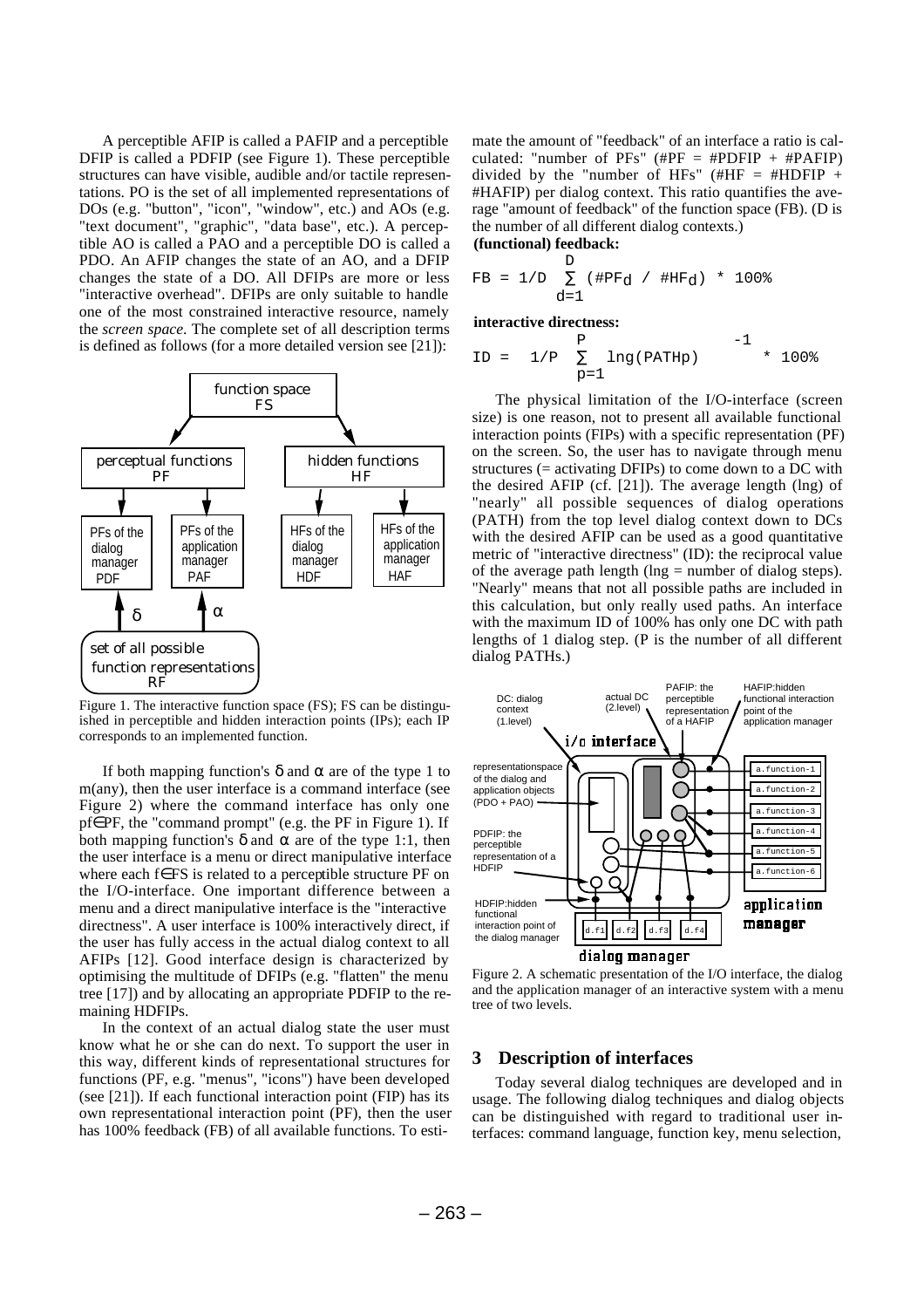A perceptible AFIP is called a PAFIP and a perceptible DFIP is called a PDFIP (see Figure 1). These perceptible structures can have visible, audible and/or tactile representations. PO is the set of all implemented representations of DOs (e.g. "button", "icon", "window", etc.) and AOs (e.g. "text document", "graphic", "data base", etc.). A perceptible AO is called a PAO and a perceptible DO is called a PDO. An AFIP changes the state of an AO, and a DFIP changes the state of a DO. All DFIPs are more or less "interactive overhead". DFIPs are only suitable to handle one of the most constrained interactive resource, namely the *screen space*. The complete set of all description terms is defined as follows (for a more detailed version see [21]):



Figure 1. The interactive function space (FS); FS can be distinguished in perceptible and hidden interaction points (IPs); each IP corresponds to an implemented function.

If both mapping function's  $\delta$  and  $\alpha$  are of the type 1 to m(any), then the user interface is a command interface (see Figure 2) where the command interface has only one pf∈PF, the "command prompt" (e.g. the PF in Figure 1). If both mapping function's  $\delta$  and  $\alpha$  are of the type 1:1, then the user interface is a menu or direct manipulative interface where each f∈FS is related to a perceptible structure PF on the I/O-interface. One important difference between a menu and a direct manipulative interface is the "interactive directness". A user interface is 100% interactively direct, if the user has fully access in the actual dialog context to all AFIPs [12]. Good interface design is characterized by optimising the multitude of DFIPs (e.g. "flatten" the menu tree [17]) and by allocating an appropriate PDFIP to the remaining HDFIPs.

In the context of an actual dialog state the user must know what he or she can do next. To support the user in this way, different kinds of representational structures for functions (PF, e.g. "menus", "icons") have been developed (see [21]). If each functional interaction point (FIP) has its own representational interaction point (PF), then the user has 100% feedback (FB) of all available functions. To estimate the amount of "feedback" of an interface a ratio is calculated: "number of PFs" (#PF = #PDFIP + #PAFIP) divided by the "number of HFs" (#HF = #HDFIP + #HAFIP) per dialog context. This ratio quantifies the average "amount of feedback" of the function space (FB). (D is the number of all different dialog contexts.) **(functional) feedback:**

$$
FB = 1/D
$$
  $\sum_{d=1}^{D} (\#PF_d / \#HF_d) * 100$ 

**interactive directness:**

$$
ID = \left\{ \begin{array}{ccc} p & | & -1 \\ 1/P & \sum_{p=1}^{p} \text{lng(PATHp)} \end{array} \right\} \times 100\%
$$

The physical limitation of the I/O-interface (screen size) is one reason, not to present all available functional interaction points (FIPs) with a specific representation (PF) on the screen. So, the user has to navigate through menu structures (= activating DFIPs) to come down to a DC with the desired AFIP (cf. [21]). The average length (lng) of "nearly" all possible sequences of dialog operations (PATH) from the top level dialog context down to DCs with the desired AFIP can be used as a good quantitative metric of "interactive directness" (ID): the reciprocal value of the average path length ( $\ln g =$  number of dialog steps). "Nearly" means that not all possible paths are included in this calculation, but only really used paths. An interface with the maximum ID of 100% has only one DC with path lengths of 1 dialog step. (P is the number of all different dialog PATHs.)



Figure 2. A schematic presentation of the I/O interface, the dialog and the application manager of an interactive system with a menu tree of two levels.

#### **3 Description of interfaces**

Today several dialog techniques are developed and in usage. The following dialog techniques and dialog objects can be distinguished with regard to traditional user interfaces: command language, function key, menu selection,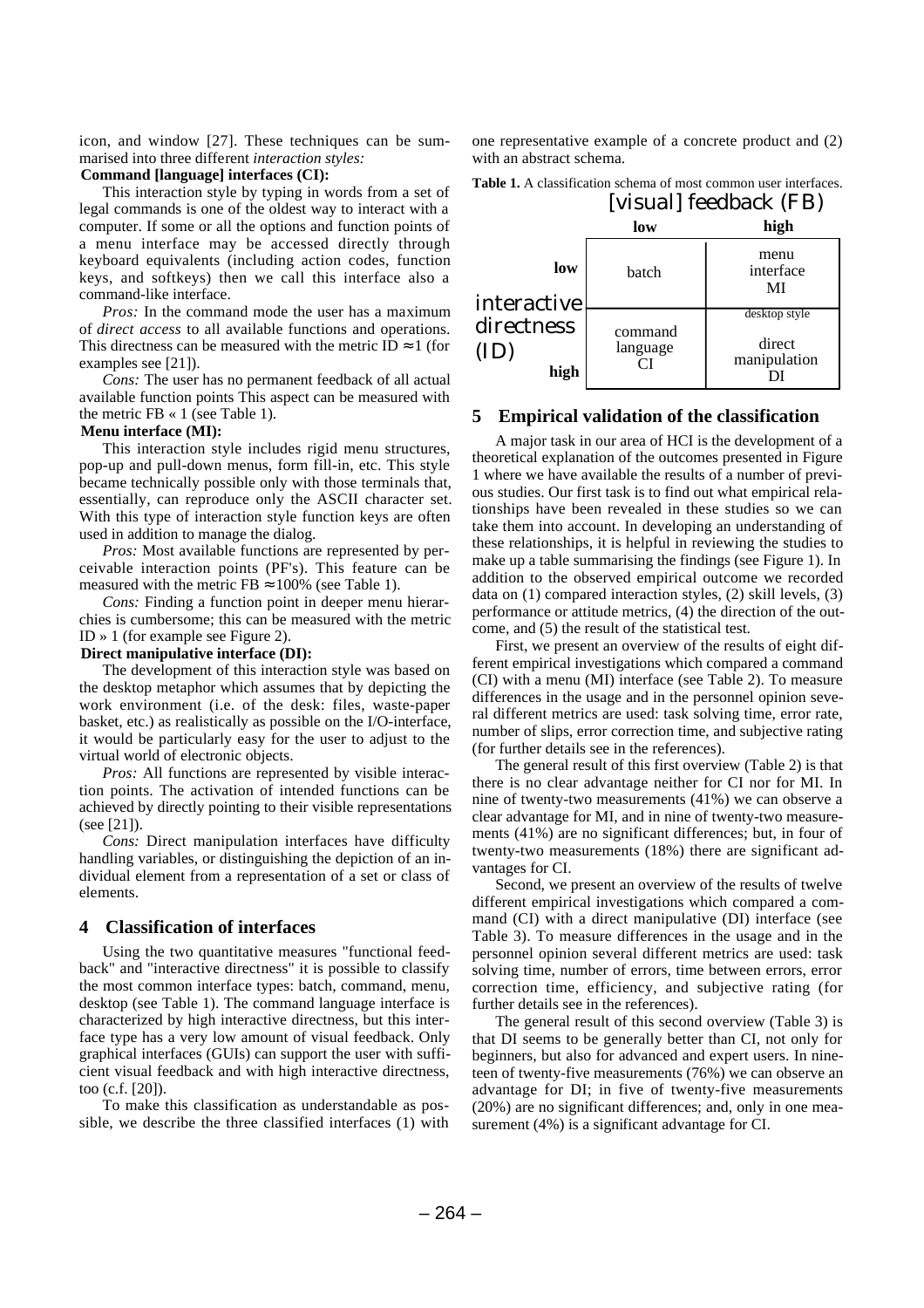icon, and window [27]. These techniques can be summarised into three different *interaction styles:*

#### **Command [language] interfaces (CI):**

This interaction style by typing in words from a set of legal commands is one of the oldest way to interact with a computer. If some or all the options and function points of a menu interface may be accessed directly through keyboard equivalents (including action codes, function keys, and softkeys) then we call this interface also a command-like interface.

*Pros:* In the command mode the user has a maximum of *direct access* to all available functions and operations. This directness can be measured with the metric ID  $\approx 1$  (for examples see [21]).

*Cons:* The user has no permanent feedback of all actual available function points This aspect can be measured with the metric FB « 1 (see Table 1).

#### **Menu interface (MI):**

This interaction style includes rigid menu structures, pop-up and pull-down menus, form fill-in, etc. This style became technically possible only with those terminals that, essentially, can reproduce only the ASCII character set. With this type of interaction style function keys are often used in addition to manage the dialog.

*Pros:* Most available functions are represented by perceivable interaction points (PF's). This feature can be measured with the metric FB  $\approx 100\%$  (see Table 1).

*Cons:* Finding a function point in deeper menu hierarchies is cumbersome; this can be measured with the metric ID » 1 (for example see Figure 2).

#### **Direct manipulative interface (DI):**

The development of this interaction style was based on the desktop metaphor which assumes that by depicting the work environment (i.e. of the desk: files, waste-paper basket, etc.) as realistically as possible on the I/O-interface, it would be particularly easy for the user to adjust to the virtual world of electronic objects.

*Pros:* All functions are represented by visible interaction points. The activation of intended functions can be achieved by directly pointing to their visible representations (see [21]).

*Cons:* Direct manipulation interfaces have difficulty handling variables, or distinguishing the depiction of an individual element from a representation of a set or class of elements.

#### **4 Classification of interfaces**

Using the two quantitative measures "functional feedback" and "interactive directness" it is possible to classify the most common interface types: batch, command, menu, desktop (see Table 1). The command language interface is characterized by high interactive directness, but this interface type has a very low amount of visual feedback. Only graphical interfaces (GUIs) can support the user with sufficient visual feedback and with high interactive directness, too (c.f. [20]).

To make this classification as understandable as possible, we describe the three classified interfaces (1) with one representative example of a concrete product and (2) with an abstract schema.

**Table 1.** A classification schema of most common user interfaces.<br>  $\begin{bmatrix} \n\cdot & \cdot & \cdot \\
\cdot & \cdot & \cdot \\
\cdot & \cdot & \cdot\n\end{bmatrix}$ 

|                            | [visual] feedback (FB) |                                         |
|----------------------------|------------------------|-----------------------------------------|
|                            | low                    | high                                    |
| low<br>interactive         | batch                  | menu<br>interface<br>MI                 |
| directness<br>(ID)<br>high | command<br>language    | desktop style<br>direct<br>manipulation |

#### **5 Empirical validation of the classification**

A major task in our area of HCI is the development of a theoretical explanation of the outcomes presented in Figure 1 where we have available the results of a number of previous studies. Our first task is to find out what empirical relationships have been revealed in these studies so we can take them into account. In developing an understanding of these relationships, it is helpful in reviewing the studies to make up a table summarising the findings (see Figure 1). In addition to the observed empirical outcome we recorded data on (1) compared interaction styles, (2) skill levels, (3) performance or attitude metrics, (4) the direction of the outcome, and (5) the result of the statistical test.

First, we present an overview of the results of eight different empirical investigations which compared a command (CI) with a menu (MI) interface (see Table 2). To measure differences in the usage and in the personnel opinion several different metrics are used: task solving time, error rate, number of slips, error correction time, and subjective rating (for further details see in the references).

The general result of this first overview (Table 2) is that there is no clear advantage neither for CI nor for MI. In nine of twenty-two measurements (41%) we can observe a clear advantage for MI, and in nine of twenty-two measurements (41%) are no significant differences; but, in four of twenty-two measurements (18%) there are significant advantages for CI.

Second, we present an overview of the results of twelve different empirical investigations which compared a command (CI) with a direct manipulative (DI) interface (see Table 3). To measure differences in the usage and in the personnel opinion several different metrics are used: task solving time, number of errors, time between errors, error correction time, efficiency, and subjective rating (for further details see in the references).

The general result of this second overview (Table 3) is that DI seems to be generally better than CI, not only for beginners, but also for advanced and expert users. In nineteen of twenty-five measurements (76%) we can observe an advantage for DI; in five of twenty-five measurements (20%) are no significant differences; and, only in one measurement (4%) is a significant advantage for CI.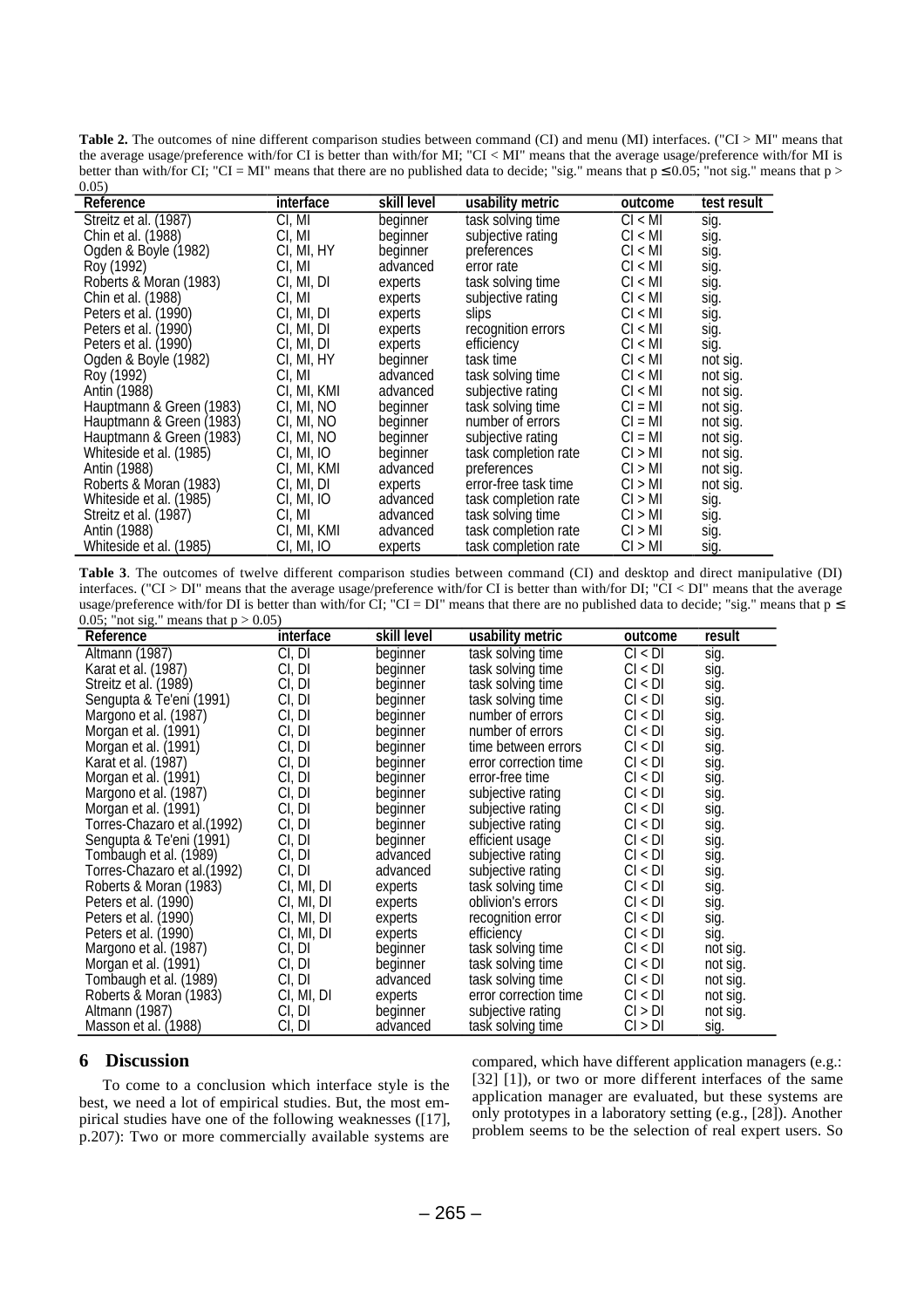**Table 2.** The outcomes of nine different comparison studies between command (CI) and menu (MI) interfaces. ("CI > MI" means that the average usage/preference with/for CI is better than with/for MI; "CI < MI" means that the average usage/preference with/for MI is better than with/for CI; "CI = MI" means that there are no published data to decide; "sig." means that  $p \ge 0.05$ ; "not sig." means that  $p > 0.05$ 0.05)

| Reference                | interface   | skill level | usability metric     | outcome   | test result          |
|--------------------------|-------------|-------------|----------------------|-----------|----------------------|
| Streitz et al. (1987)    | CI, MI      | beginner    | task solving time    | Cl < M    | sig.                 |
| Chin et al. (1988)       | CI, MI      | beginner    | subjective rating    | Cl < MI   |                      |
| Ogden & Boyle (1982)     | CI, MI, HY  | beginner    | preferences          | Cl < M    | sig.<br>sig.         |
| Roy (1992)               | CI, MI      | advanced    | error rate           | Cl < M    | siğ.                 |
| Roberts & Moran (1983)   | CI, MI, DI  | experts     | task solving time    | Cl < M    | sig.                 |
| Chin et al. (1988)       | CI. MI      | experts     | subjective rating    | Cl < MI   | sig.                 |
| Peters et al. (1990)     | CI, MI, DI  | experts     | slips                | Cl < M    | sig.<br>sig.<br>sig. |
| Peters et al. (1990)     | CI, MI, DI  | experts     | recognition errors   | Cl < M    |                      |
| Peters et al. (1990)     | CI, MI, DI  | experts     | efficiency           | Cl < M    |                      |
| Ogden & Boyle (1982)     | CI, MI, HY  | beginner    | task time            | Cl < M    | not sig.             |
| Roy (1992)               | CI. MI      | advanced    | task solving time    | Cl < M    | not sig.             |
| Antin (1988)             | CI, MI, KMI | advanced    | subjective rating    | Cl < MI   | not sig.             |
| Hauptmann & Green (1983) | CI, MI, NO  | beginner    | task solving time    | $CI = MI$ | not sig.             |
| Hauptmann & Green (1983) | CI, MI, NO  | beginner    | number of errors     | $CI = MI$ | not sig.             |
| Hauptmann & Green (1983) | CI, MI, NO  | beginner    | subjective rating    | $CI = MI$ | not sig.             |
| Whiteside et al. (1985)  | CI, MI, IO  | beginner    | task completion rate | CI > MI   | not sig.             |
| Antin (1988)             | CI, MI, KMI | advanced    | preferences          | CI > MI   | not sig.             |
| Roberts & Moran (1983)   | CI, MI, DI  | experts     | error-free task time | Cl > MI   | not sig.             |
| Whiteside et al. (1985)  | CI, MI, IO  | advanced    | task completion rate | Cl > MI   | sig.                 |
| Streitz et al. (1987)    | CI, MI      | advanced    | task solving time    | CI > MI   | sig.                 |
| Antin (1988)             | CI, MI, KMI | advanced    | task completion rate | CI > MI   | sig.                 |
| Whiteside et al. (1985)  | CI, MI, IO  | experts     | task completion rate | CI > MI   | sig.                 |

**Table 3**. The outcomes of twelve different comparison studies between command (CI) and desktop and direct manipulative (DI) interfaces. ("CI > DI" means that the average usage/preference with/for CI is better than with/for DI; "CI < DI" means that the average usage/preference with/for DI is better than with/for CI; "CI = DI" means that there are no published data to decide; "sig." means that  $p \leq$ 0.05; "not sig." means that  $p > 0.05$ )

| Reference                   | interface  | skill level | usability metric      | outcome | result       |
|-----------------------------|------------|-------------|-----------------------|---------|--------------|
| <b>Altmann (1987)</b>       | CI, DI     | beginner    | task solving time     | Cl < DI | sig.         |
| Karat et al. (1987)         | CI, DI     | beginner    | task solving time     | CI < DI | sig.         |
| Streitz et al. (1989)       | CI, DI     | beginner    | task solving time     | Cl < DI | sig.         |
| Sengupta & Te'eni (1991)    | CI, DI     | beginner    | task solving time     | CI < DI | sig.         |
| Margono et al. (1987)       | CI, DI     | beginner    | number of errors      | CI < DI | sig.         |
| Morgan et al. (1991)        | ci, di     | beginner    | number of errors      | CI < DI | sig.         |
| Morgan et al. (1991)        | ci, di     | beginner    | time between errors   | Cl < DI | sig.         |
| Karat et al. (1987)         | CI, DI     | beginner    | error correction time | Cl < DI | siğ.         |
| Morgan et al. (1991)        | CI, DI     | beginner    | error-free time       | CI < DI | sig.         |
| Margono et al. (1987)       | CI, DI     | beginner    | subjective rating     | Cl < DI | sig.         |
| Morgan et al. (1991)        | CI, DI     | beginner    | subjective rating     | Cl < DI | sig.         |
| Torres-Chazaro et al.(1992) | CI, DI     | beginner    | subjective rating     | CI < DI | sig.         |
| Sengupta & Te'eni (1991)    | CI, DI     | beginner    | efficient usage       | Cl < DI | sig.         |
| Tombaugh et al. (1989)      | CI, DI     | advanced    | subjective rating     | CI < DI |              |
| Torres-Chazaro et al.(1992) | CI, DI     | advanced    | subjective rating     | Cl < DI | sig.<br>sig. |
| Roberts & Moran (1983)      | CI, MI, DI | experts     | task solving time     | CI < DI | sig.         |
| Peters et al. (1990)        | CI, MI, DI | experts     | oblivion's errors     | CI < DI | sig.         |
| Peters et al. (1990)        | CI, MI, DI | experts     | recognition error     | CI < DI | sig.         |
| Peters et al. (1990)        | CI, MI, DI | experts     | efficiency            | CI < DI | sig.         |
| Margono et al. (1987)       | CI, DI     | beginner    | task solving time     | Cl < DI | not sig.     |
| Morgan et al. (1991)        | ci, di     | beginner    | task solving time     | CI < DI | not sig.     |
| Tombaugh et al. (1989)      | CI, DI     | advanced    | task solving time     | CI < DI | not sig.     |
| Roberts & Moran (1983)      | CI, MI, DI | experts     | error correction time | CI < DI | not sig.     |
| Altmann (1987)              | CI, DI     | beginner    | subjective rating     | CI > DI | not sig.     |
| Masson et al. (1988)        | CI, DI     | advanced    | task solving time     | CI > DI | sig.         |

## **6 Discussion**

To come to a conclusion which interface style is the best, we need a lot of empirical studies. But, the most empirical studies have one of the following weaknesses ([17], p.207): Two or more commercially available systems are compared, which have different application managers (e.g.: [32] [1]), or two or more different interfaces of the same application manager are evaluated, but these systems are only prototypes in a laboratory setting (e.g., [28]). Another problem seems to be the selection of real expert users. So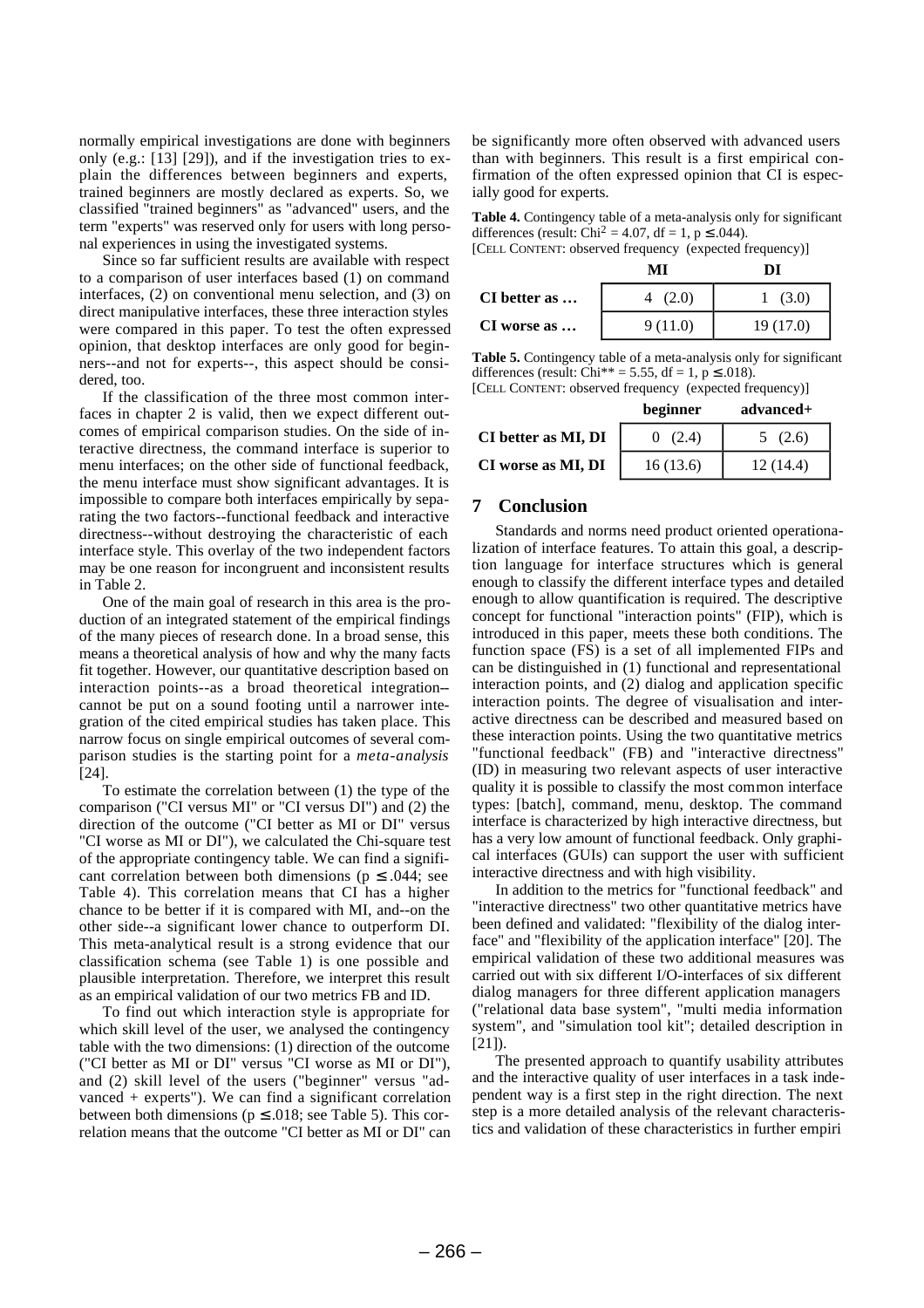normally empirical investigations are done with beginners only (e.g.: [13] [29]), and if the investigation tries to explain the differences between beginners and experts, trained beginners are mostly declared as experts. So, we classified "trained beginners" as "advanced" users, and the term "experts" was reserved only for users with long personal experiences in using the investigated systems.

Since so far sufficient results are available with respect to a comparison of user interfaces based (1) on command interfaces, (2) on conventional menu selection, and (3) on direct manipulative interfaces, these three interaction styles were compared in this paper. To test the often expressed opinion, that desktop interfaces are only good for beginners--and not for experts--, this aspect should be considered, too.

If the classification of the three most common interfaces in chapter 2 is valid, then we expect different outcomes of empirical comparison studies. On the side of interactive directness, the command interface is superior to menu interfaces; on the other side of functional feedback, the menu interface must show significant advantages. It is impossible to compare both interfaces empirically by separating the two factors--functional feedback and interactive directness--without destroying the characteristic of each interface style. This overlay of the two independent factors may be one reason for incongruent and inconsistent results in Table 2.

One of the main goal of research in this area is the production of an integrated statement of the empirical findings of the many pieces of research done. In a broad sense, this means a theoretical analysis of how and why the many facts fit together. However, our quantitative description based on interaction points--as a broad theoretical integration- cannot be put on a sound footing until a narrower integration of the cited empirical studies has taken place. This narrow focus on single empirical outcomes of several comparison studies is the starting point for a *meta-analysis* [24].

To estimate the correlation between (1) the type of the comparison ("CI versus MI" or "CI versus DI") and (2) the direction of the outcome ("CI better as MI or DI" versus "CI worse as MI or DI"), we calculated the Chi-square test of the appropriate contingency table. We can find a significant correlation between both dimensions ( $p \le 0.044$ ; see Table 4). This correlation means that CI has a higher chance to be better if it is compared with MI, and--on the other side--a significant lower chance to outperform DI. This meta-analytical result is a strong evidence that our classification schema (see Table 1) is one possible and plausible interpretation. Therefore, we interpret this result as an empirical validation of our two metrics FB and ID.

To find out which interaction style is appropriate for which skill level of the user, we analysed the contingency table with the two dimensions: (1) direction of the outcome ("CI better as MI or DI" versus "CI worse as MI or DI"), and (2) skill level of the users ("beginner" versus "advanced  $+$  experts"). We can find a significant correlation between both dimensions ( $p \le 0.018$ ; see Table 5). This correlation means that the outcome "CI better as MI or DI" can

be significantly more often observed with advanced users than with beginners. This result is a first empirical confirmation of the often expressed opinion that CI is especially good for experts.

**Table 4.** Contingency table of a meta-analysis only for significant differences (result: Chi<sup>2</sup> = 4.07, df = 1, p  $\leq$  .044).

[CELL CONTENT: observed frequency (expected frequency)]

|              | MI      | DI        |
|--------------|---------|-----------|
| CI better as | 4(2.0)  | 1 $(3.0)$ |
| CI worse as  | 9(11.0) | 19 (17.0) |

**Table 5.** Contingency table of a meta-analysis only for significant differences (result: Chi\*\* = 5.55, df = 1,  $p \le 0.018$ ).

[CELL CONTENT: observed frequency (expected frequency)]

|                     | beginner | advanced+ |
|---------------------|----------|-----------|
| CI better as MI, DI | (2.4)    | 5(2.6)    |
| CI worse as MI, DI  | 16(13.6) | 12(14.4)  |

## **7 Conclusion**

Standards and norms need product oriented operationalization of interface features. To attain this goal, a description language for interface structures which is general enough to classify the different interface types and detailed enough to allow quantification is required. The descriptive concept for functional "interaction points" (FIP), which is introduced in this paper, meets these both conditions. The function space (FS) is a set of all implemented FIPs and can be distinguished in (1) functional and representational interaction points, and (2) dialog and application specific interaction points. The degree of visualisation and interactive directness can be described and measured based on these interaction points. Using the two quantitative metrics "functional feedback" (FB) and "interactive directness" (ID) in measuring two relevant aspects of user interactive quality it is possible to classify the most common interface types: [batch], command, menu, desktop. The command interface is characterized by high interactive directness, but has a very low amount of functional feedback. Only graphical interfaces (GUIs) can support the user with sufficient interactive directness and with high visibility.

In addition to the metrics for "functional feedback" and "interactive directness" two other quantitative metrics have been defined and validated: "flexibility of the dialog interface" and "flexibility of the application interface" [20]. The empirical validation of these two additional measures was carried out with six different I/O-interfaces of six different dialog managers for three different application managers ("relational data base system", "multi media information system", and "simulation tool kit"; detailed description in [21]).

The presented approach to quantify usability attributes and the interactive quality of user interfaces in a task independent way is a first step in the right direction. The next step is a more detailed analysis of the relevant characteristics and validation of these characteristics in further empiri